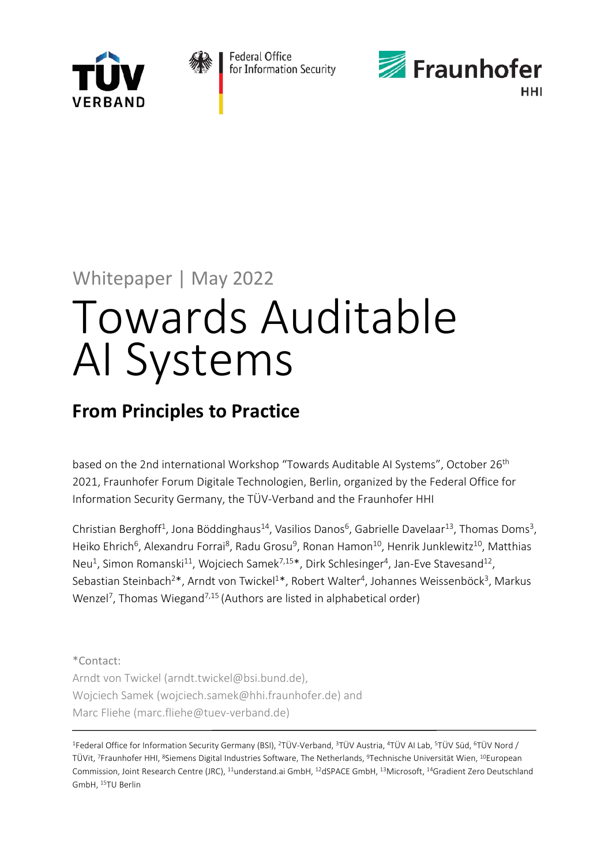



Federal Office for Information Security



# Whitepaper | May 2022

# Towards Auditable AI Systems

# **From Principles to Practice**

based on the 2nd international Workshop "Towards Auditable AI Systems", October 26<sup>th</sup> 2021, Fraunhofer Forum Digitale Technologien, Berlin, organized by the Federal Office for Information Security Germany, the TÜV-Verband and the Fraunhofer HHI

Christian Berghoff<sup>1</sup>, Jona Böddinghaus<sup>14</sup>, Vasilios Danos<sup>6</sup>, Gabrielle Davelaar<sup>13</sup>, Thomas Doms<sup>3</sup>, Heiko Ehrich<sup>6</sup>, Alexandru Forrai<sup>8</sup>, Radu Grosu<sup>9</sup>, Ronan Hamon<sup>10</sup>, Henrik Junklewitz<sup>10</sup>, Matthias Neu<sup>1</sup>, Simon Romanski<sup>11</sup>, Wojciech Samek<sup>7,15\*</sup>, Dirk Schlesinger<sup>4</sup>, Jan-Eve Stavesand<sup>12</sup>, Sebastian Steinbach<sup>2\*</sup>, Arndt von Twickel<sup>1\*</sup>, Robert Walter<sup>4</sup>, Johannes Weissenböck<sup>3</sup>, Markus Wenzel<sup>7</sup>, Thomas Wiegand<sup>7,15</sup> (Authors are listed in alphabetical order)

\*Contact: Arndt von Twickel (arndt.twickel@bsi.bund.de), Wojciech Samek [\(wojciech.samek@hhi.fraunhofer.de\)](mailto:wojciech.samek@hhi.fraunhofer.de) and Marc Fliehe (mar[c.f](mailto:wojciech.samek@hhi.fraunhofer.de)lieh[e@tuev-](mailto:wojciech.samek@hhi.fraunhofer.de)verban[d.de\)](mailto:wojciech.samek@hhi.fraunhofer.de)

1Federal Office for Information Security Germany (BSI), 2TÜV-Verband, 3TÜV Austria, 4TÜV AI Lab, 5TÜV Süd, 6TÜV Nord / TÜVit, 7Fraunhofer HHI, 8Siemens Digital Industries Software, The Netherlands, 9Technische Universität Wien, 10European Commission, Joint Research Centre (JRC), 11understand.ai GmbH, 12dSPACE GmbH, 13Microsoft, 14Gradient Zero Deutschland GmbH, 15TU Berlin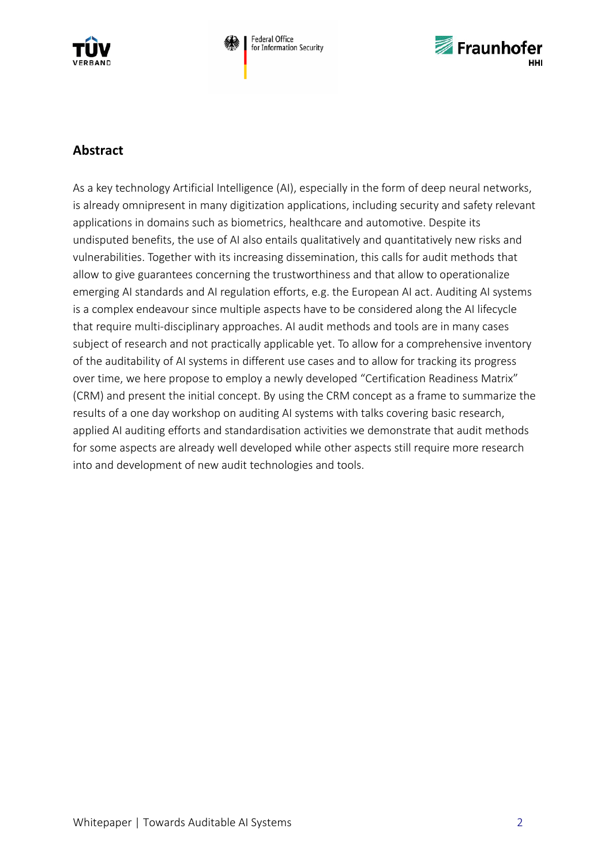



## **Abstract**

As a key technology Artificial Intelligence (AI), especially in the form of deep neural networks, is already omnipresent in many digitization applications, including security and safety relevant applications in domains such as biometrics, healthcare and automotive. Despite its undisputed benefits, the use of AI also entails qualitatively and quantitatively new risks and vulnerabilities. Together with its increasing dissemination, this calls for audit methods that allow to give guarantees concerning the trustworthiness and that allow to operationalize emerging AI standards and AI regulation efforts, e.g. the European AI act. Auditing AI systems is a complex endeavour since multiple aspects have to be considered along the AI lifecycle that require multi-disciplinary approaches. AI audit methods and tools are in many cases subject of research and not practically applicable yet. To allow for a comprehensive inventory of the auditability of AI systems in different use cases and to allow for tracking its progress over time, we here propose to employ a newly developed "Certification Readiness Matrix" (CRM) and present the initial concept. By using the CRM concept as a frame to summarize the results of a one day workshop on auditing AI systems with talks covering basic research, applied AI auditing efforts and standardisation activities we demonstrate that audit methods for some aspects are already well developed while other aspects still require more research into and development of new audit technologies and tools.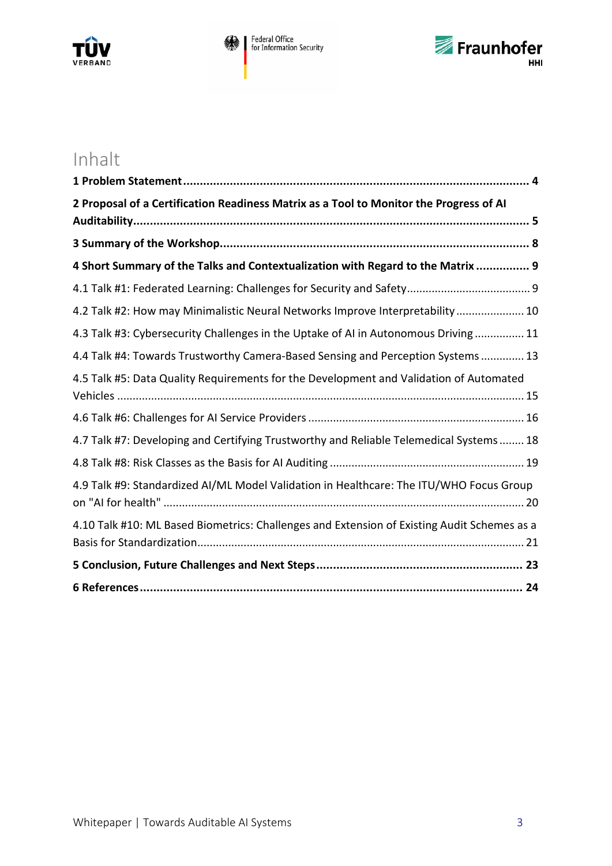



# Inhalt

| 2 Proposal of a Certification Readiness Matrix as a Tool to Monitor the Progress of AI      |
|---------------------------------------------------------------------------------------------|
|                                                                                             |
| 4 Short Summary of the Talks and Contextualization with Regard to the Matrix  9             |
|                                                                                             |
| 4.2 Talk #2: How may Minimalistic Neural Networks Improve Interpretability  10              |
| 4.3 Talk #3: Cybersecurity Challenges in the Uptake of AI in Autonomous Driving 11          |
| 4.4 Talk #4: Towards Trustworthy Camera-Based Sensing and Perception Systems  13            |
| 4.5 Talk #5: Data Quality Requirements for the Development and Validation of Automated      |
|                                                                                             |
| 4.7 Talk #7: Developing and Certifying Trustworthy and Reliable Telemedical Systems 18      |
|                                                                                             |
| 4.9 Talk #9: Standardized AI/ML Model Validation in Healthcare: The ITU/WHO Focus Group     |
| 4.10 Talk #10: ML Based Biometrics: Challenges and Extension of Existing Audit Schemes as a |
|                                                                                             |
|                                                                                             |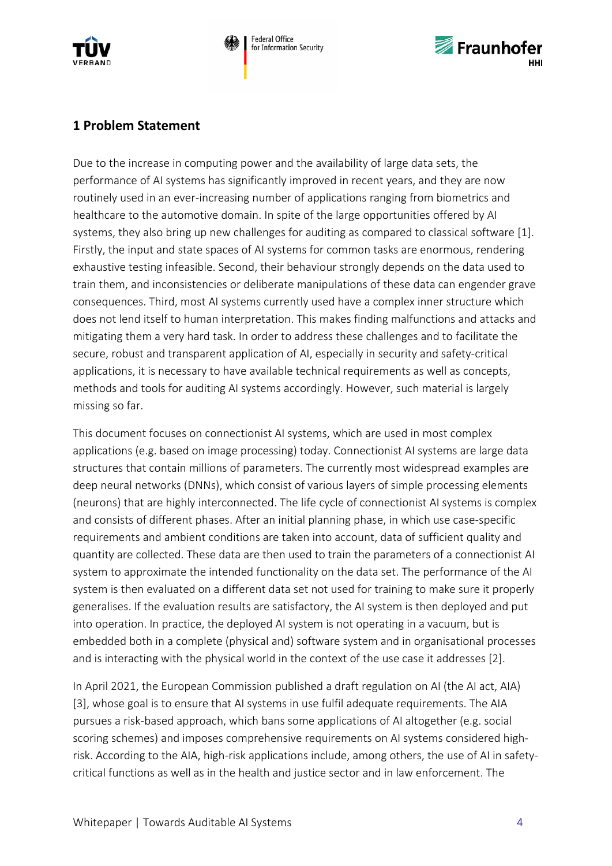



## <span id="page-3-0"></span>**1 Problem Statement**

Due to the increase in computing power and the availability of large data sets, the performance of AI systems has significantly improved in recent years, and they are now routinely used in an ever-increasing number of applications ranging from biometrics and healthcare to the automotive domain. In spite of the large opportunities offered by AI systems, they also bring up new challenges for auditing as compared to classical software [1]. Firstly, the input and state spaces of AI systems for common tasks are enormous, rendering exhaustive testing infeasible. Second, their behaviour strongly depends on the data used to train them, and inconsistencies or deliberate manipulations of these data can engender grave consequences. Third, most AI systems currently used have a complex inner structure which does not lend itself to human interpretation. This makes finding malfunctions and attacks and mitigating them a very hard task. In order to address these challenges and to facilitate the secure, robust and transparent application of AI, especially in security and safety-critical applications, it is necessary to have available technical requirements as well as concepts, methods and tools for auditing AI systems accordingly. However, such material is largely missing so far.

This document focuses on connectionist AI systems, which are used in most complex applications (e.g. based on image processing) today. Connectionist AI systems are large data structures that contain millions of parameters. The currently most widespread examples are deep neural networks (DNNs), which consist of various layers of simple processing elements (neurons) that are highly interconnected. The life cycle of connectionist AI systems is complex and consists of different phases. After an initial planning phase, in which use case-specific requirements and ambient conditions are taken into account, data of sufficient quality and quantity are collected. These data are then used to train the parameters of a connectionist AI system to approximate the intended functionality on the data set. The performance of the AI system is then evaluated on a different data set not used for training to make sure it properly generalises. If the evaluation results are satisfactory, the AI system is then deployed and put into operation. In practice, the deployed AI system is not operating in a vacuum, but is embedded both in a complete (physical and) software system and in organisational processes and is interacting with the physical world in the context of the use case it addresses [2].

In April 2021, the European Commission published a draft regulation on AI (the AI act, AIA) [3], whose goal is to ensure that AI systems in use fulfil adequate requirements. The AIA pursues a risk-based approach, which bans some applications of AI altogether (e.g. social scoring schemes) and imposes comprehensive requirements on AI systems considered highrisk. According to the AIA, high-risk applications include, among others, the use of AI in safetycritical functions as well as in the health and justice sector and in law enforcement. The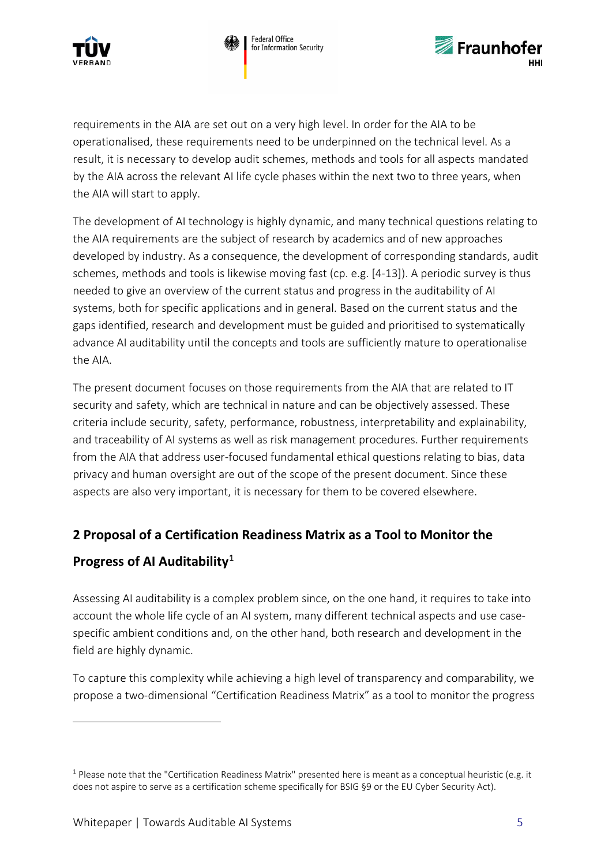



requirements in the AIA are set out on a very high level. In order for the AIA to be operationalised, these requirements need to be underpinned on the technical level. As a result, it is necessary to develop audit schemes, methods and tools for all aspects mandated by the AIA across the relevant AI life cycle phases within the next two to three years, when the AIA will start to apply.

The development of AI technology is highly dynamic, and many technical questions relating to the AIA requirements are the subject of research by academics and of new approaches developed by industry. As a consequence, the development of corresponding standards, audit schemes, methods and tools is likewise moving fast (cp. e.g. [4-13]). A periodic survey is thus needed to give an overview of the current status and progress in the auditability of AI systems, both for specific applications and in general. Based on the current status and the gaps identified, research and development must be guided and prioritised to systematically advance AI auditability until the concepts and tools are sufficiently mature to operationalise the AIA.

The present document focuses on those requirements from the AIA that are related to IT security and safety, which are technical in nature and can be objectively assessed. These criteria include security, safety, performance, robustness, interpretability and explainability, and traceability of AI systems as well as risk management procedures. Further requirements from the AIA that address user-focused fundamental ethical questions relating to bias, data privacy and human oversight are out of the scope of the present document. Since these aspects are also very important, it is necessary for them to be covered elsewhere.

# <span id="page-4-0"></span>**2 Proposal of a Certification Readiness Matrix as a Tool to Monitor the**

# **Progress of AI Auditability**[1](#page-4-1)

1

Assessing AI auditability is a complex problem since, on the one hand, it requires to take into account the whole life cycle of an AI system, many different technical aspects and use casespecific ambient conditions and, on the other hand, both research and development in the field are highly dynamic.

To capture this complexity while achieving a high level of transparency and comparability, we propose a two-dimensional "Certification Readiness Matrix" as a tool to monitor the progress

<span id="page-4-1"></span> $1$  Please note that the "Certification Readiness Matrix" presented here is meant as a conceptual heuristic (e.g. it does not aspire to serve as a certification scheme specifically for BSIG §9 or the EU Cyber Security Act).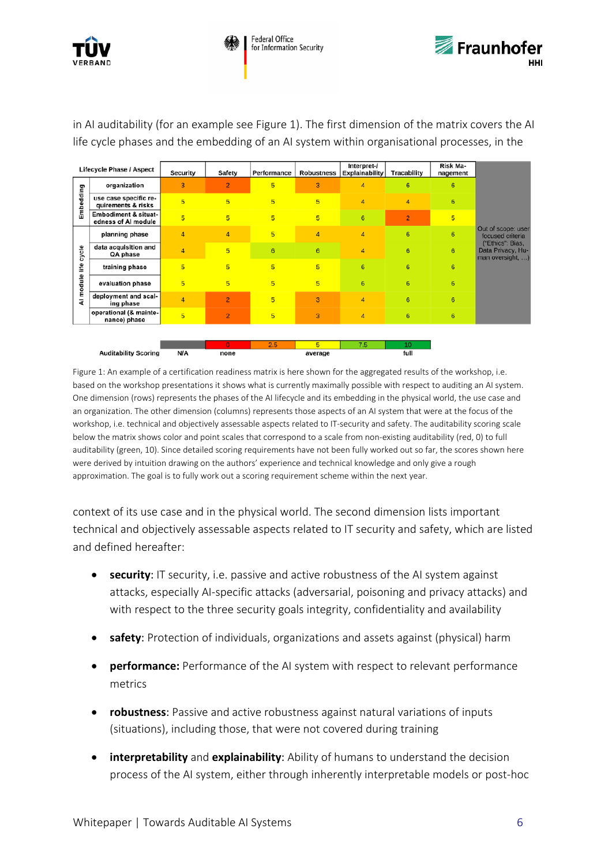

|                   | <b>Lifecycle Phase / Aspect</b>                        | Security       | Safety         | Performance | <b>Robustness</b> | Interpret-/<br>Explainability | Tracability    | Risk Ma-<br>nagement |                                                           |
|-------------------|--------------------------------------------------------|----------------|----------------|-------------|-------------------|-------------------------------|----------------|----------------------|-----------------------------------------------------------|
| Embedding         | organization                                           | 3              | $\overline{2}$ | 5           | 3                 | $\overline{a}$                | 6              | 6                    |                                                           |
|                   | use case specific re-<br>quirements & risks            | 5              | $\overline{5}$ | 5           | 5                 | $\overline{A}$                | 4              | $6\phantom{1}$       |                                                           |
|                   | <b>Embodiment &amp; situat-</b><br>edness of AI module | 5              | 5              | 5           | 5                 | $6\phantom{1}6$               | $\overline{2}$ | $5\overline{)}$      |                                                           |
|                   | planning phase                                         | 4              | $\overline{4}$ | 5           | 4                 | 4                             | 6              | 6                    | Out of scope: user<br>focused criteria                    |
| cycle             | data acquisition and<br>QA phase                       | $\overline{4}$ | 5              | 6           | 6                 | $\overline{4}$                | 6              | 6                    | ("Ethics": Bias,<br>Data Privacy, Hu-<br>man oversight, ) |
| life<br>Al module | training phase                                         | 5              | 5              | 5           | 5                 | 6                             | 6              | 6                    |                                                           |
|                   | evaluation phase                                       | 5              | 5              | 5           | 5                 | 6                             | 6              | 6                    |                                                           |
|                   | deployment and scal-<br>ing phase                      | $\overline{4}$ | $\overline{2}$ | 5           | 3                 | $\overline{4}$                | 6              | 6                    |                                                           |
|                   | operational (& mainte-<br>nance) phase                 | 5              | $\overline{2}$ | 5           | 3                 | $\overline{4}$                | 6              | 6                    |                                                           |
|                   |                                                        |                |                |             |                   |                               |                |                      |                                                           |
|                   |                                                        |                | $\mathbf{0}$   | 2.5         | 5                 | 7.5                           | 10             |                      |                                                           |
|                   | <b>Auditability Scoring</b>                            | <b>N/A</b>     | none           |             | average           |                               | full           |                      |                                                           |

in AI auditability (for an example see Figure 1). The first dimension of the matrix covers the AI life cycle phases and the embedding of an AI system within organisational processes, in the

Figure 1: An example of a certification readiness matrix is here shown for the aggregated results of the workshop, i.e. based on the workshop presentations it shows what is currently maximally possible with respect to auditing an AI system. One dimension (rows) represents the phases of the AI lifecycle and its embedding in the physical world, the use case and an organization. The other dimension (columns) represents those aspects of an AI system that were at the focus of the workshop, i.e. technical and objectively assessable aspects related to IT-security and safety. The auditability scoring scale below the matrix shows color and point scales that correspond to a scale from non-existing auditability (red, 0) to full auditability (green, 10). Since detailed scoring requirements have not been fully worked out so far, the scores shown here were derived by intuition drawing on the authors' experience and technical knowledge and only give a rough approximation. The goal is to fully work out a scoring requirement scheme within the next year.

context of its use case and in the physical world. The second dimension lists important technical and objectively assessable aspects related to IT security and safety, which are listed and defined hereafter:

- **security**: IT security, i.e. passive and active robustness of the AI system against attacks, especially AI-specific attacks (adversarial, poisoning and privacy attacks) and with respect to the three security goals integrity, confidentiality and availability
- **safety**: Protection of individuals, organizations and assets against (physical) harm
- **performance:** Performance of the AI system with respect to relevant performance metrics
- **robustness**: Passive and active robustness against natural variations of inputs (situations), including those, that were not covered during training
- **interpretability** and **explainability**: Ability of humans to understand the decision process of the AI system, either through inherently interpretable models or post-hoc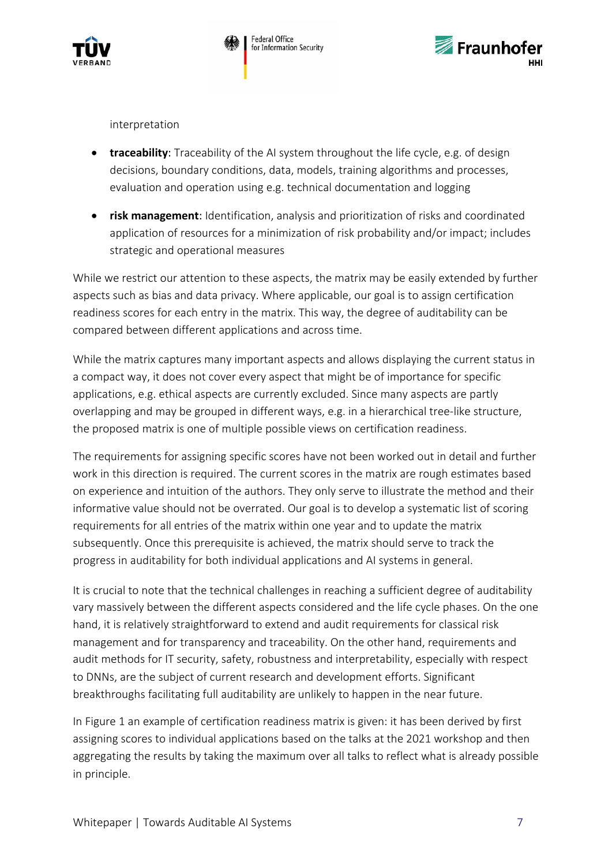



interpretation

- **traceability**: Traceability of the AI system throughout the life cycle, e.g. of design decisions, boundary conditions, data, models, training algorithms and processes, evaluation and operation using e.g. technical documentation and logging
- **risk management**: Identification, analysis and prioritization of risks and coordinated application of resources for a minimization of risk probability and/or impact; includes strategic and operational measures

While we restrict our attention to these aspects, the matrix may be easily extended by further aspects such as bias and data privacy. Where applicable, our goal is to assign certification readiness scores for each entry in the matrix. This way, the degree of auditability can be compared between different applications and across time.

While the matrix captures many important aspects and allows displaying the current status in a compact way, it does not cover every aspect that might be of importance for specific applications, e.g. ethical aspects are currently excluded. Since many aspects are partly overlapping and may be grouped in different ways, e.g. in a hierarchical tree-like structure, the proposed matrix is one of multiple possible views on certification readiness.

The requirements for assigning specific scores have not been worked out in detail and further work in this direction is required. The current scores in the matrix are rough estimates based on experience and intuition of the authors. They only serve to illustrate the method and their informative value should not be overrated. Our goal is to develop a systematic list of scoring requirements for all entries of the matrix within one year and to update the matrix subsequently. Once this prerequisite is achieved, the matrix should serve to track the progress in auditability for both individual applications and AI systems in general.

It is crucial to note that the technical challenges in reaching a sufficient degree of auditability vary massively between the different aspects considered and the life cycle phases. On the one hand, it is relatively straightforward to extend and audit requirements for classical risk management and for transparency and traceability. On the other hand, requirements and audit methods for IT security, safety, robustness and interpretability, especially with respect to DNNs, are the subject of current research and development efforts. Significant breakthroughs facilitating full auditability are unlikely to happen in the near future.

In Figure 1 an example of certification readiness matrix is given: it has been derived by first assigning scores to individual applications based on the talks at the 2021 workshop and then aggregating the results by taking the maximum over all talks to reflect what is already possible in principle.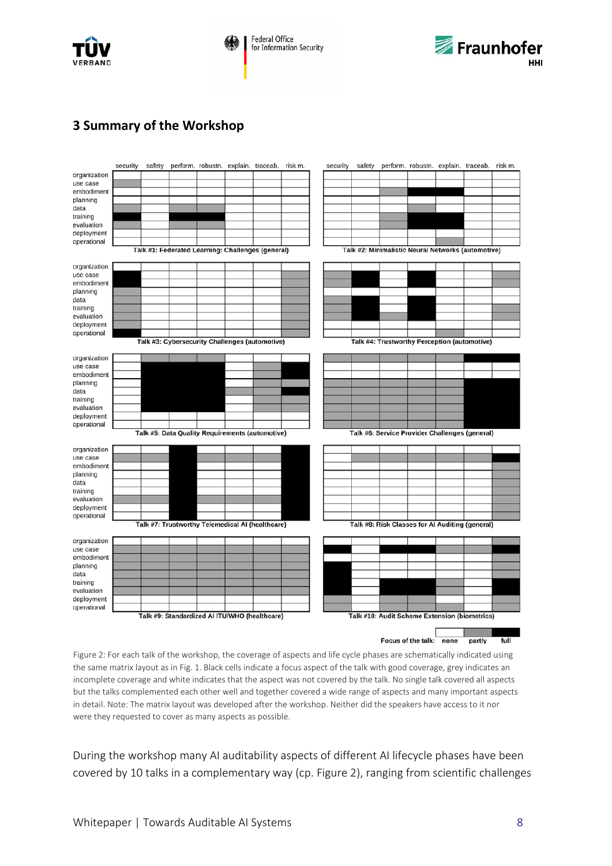



## <span id="page-7-0"></span>**3 Summary of the Workshop**



Figure 2: For each talk of the workshop, the coverage of aspects and life cycle phases are schematically indicated using the same matrix layout as in Fig. 1. Black cells indicate a focus aspect of the talk with good coverage, grey indicates an incomplete coverage and white indicates that the aspect was not covered by the talk. No single talk covered all aspects but the talks complemented each other well and together covered a wide range of aspects and many important aspects in detail. Note: The matrix layout was developed after the workshop. Neither did the speakers have access to it nor were they requested to cover as many aspects as possible.

During the workshop many AI auditability aspects of different AI lifecycle phases have been covered by 10 talks in a complementary way (cp. Figure 2), ranging from scientific challenges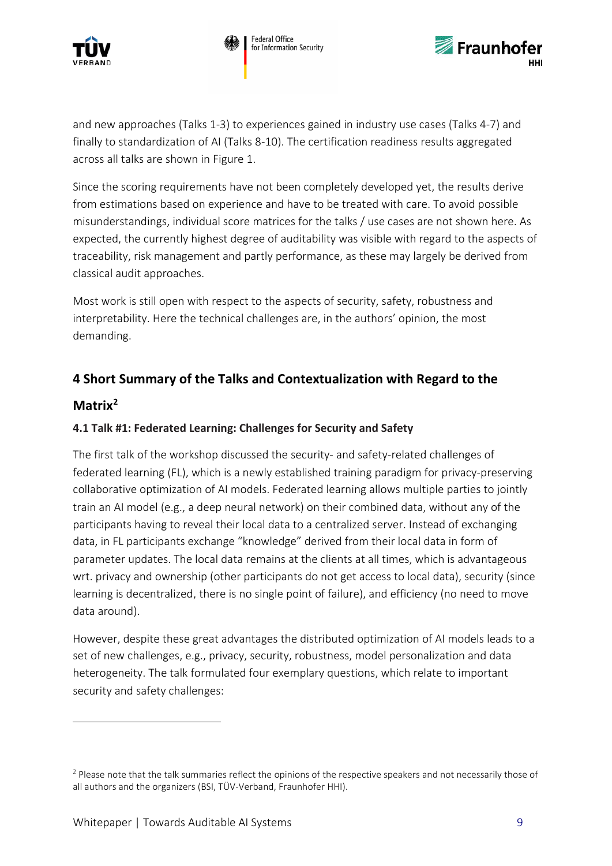





and new approaches (Talks 1-3) to experiences gained in industry use cases (Talks 4-7) and finally to standardization of AI (Talks 8-10). The certification readiness results aggregated across all talks are shown in Figure 1.

Since the scoring requirements have not been completely developed yet, the results derive from estimations based on experience and have to be treated with care. To avoid possible misunderstandings, individual score matrices for the talks / use cases are not shown here. As expected, the currently highest degree of auditability was visible with regard to the aspects of traceability, risk management and partly performance, as these may largely be derived from classical audit approaches.

Most work is still open with respect to the aspects of security, safety, robustness and interpretability. Here the technical challenges are, in the authors' opinion, the most demanding.

# <span id="page-8-0"></span>**4 Short Summary of the Talks and Contextualization with Regard to the**

## **Matrix[2](#page-8-2)**

1

#### <span id="page-8-1"></span>**4.1 Talk #1: Federated Learning: Challenges for Security and Safety**

The first talk of the workshop discussed the security- and safety-related challenges of federated learning (FL), which is a newly established training paradigm for privacy-preserving collaborative optimization of AI models. Federated learning allows multiple parties to jointly train an AI model (e.g., a deep neural network) on their combined data, without any of the participants having to reveal their local data to a centralized server. Instead of exchanging data, in FL participants exchange "knowledge" derived from their local data in form of parameter updates. The local data remains at the clients at all times, which is advantageous wrt. privacy and ownership (other participants do not get access to local data), security (since learning is decentralized, there is no single point of failure), and efficiency (no need to move data around).

However, despite these great advantages the distributed optimization of AI models leads to a set of new challenges, e.g., privacy, security, robustness, model personalization and data heterogeneity. The talk formulated four exemplary questions, which relate to important security and safety challenges:

<span id="page-8-2"></span><sup>&</sup>lt;sup>2</sup> Please note that the talk summaries reflect the opinions of the respective speakers and not necessarily those of all authors and the organizers (BSI, TÜV-Verband, Fraunhofer HHI).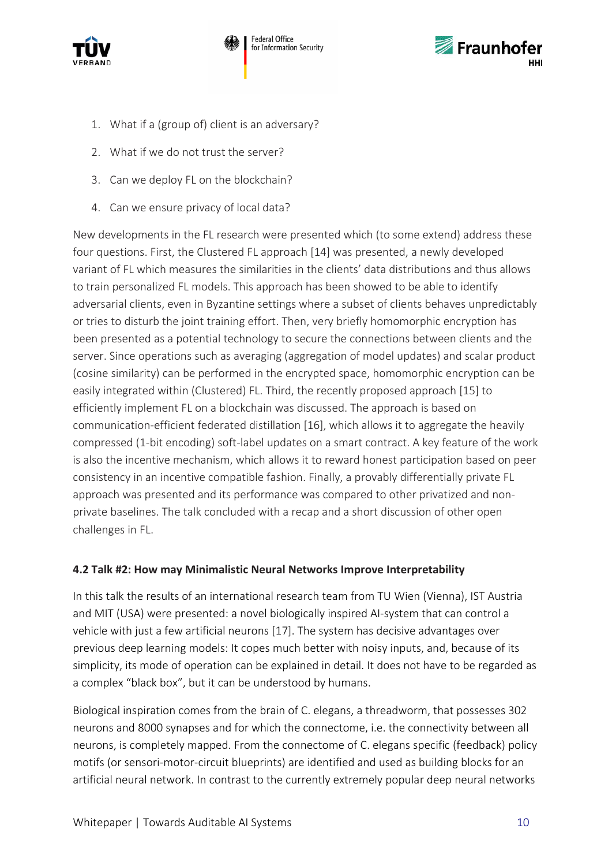



- 1. What if a (group of) client is an adversary?
- 2. What if we do not trust the server?
- 3. Can we deploy FL on the blockchain?
- 4. Can we ensure privacy of local data?

New developments in the FL research were presented which (to some extend) address these four questions. First, the Clustered FL approach [14] was presented, a newly developed variant of FL which measures the similarities in the clients' data distributions and thus allows to train personalized FL models. This approach has been showed to be able to identify adversarial clients, even in Byzantine settings where a subset of clients behaves unpredictably or tries to disturb the joint training effort. Then, very briefly homomorphic encryption has been presented as a potential technology to secure the connections between clients and the server. Since operations such as averaging (aggregation of model updates) and scalar product (cosine similarity) can be performed in the encrypted space, homomorphic encryption can be easily integrated within (Clustered) FL. Third, the recently proposed approach [15] to efficiently implement FL on a blockchain was discussed. The approach is based on communication-efficient federated distillation [16], which allows it to aggregate the heavily compressed (1-bit encoding) soft-label updates on a smart contract. A key feature of the work is also the incentive mechanism, which allows it to reward honest participation based on peer consistency in an incentive compatible fashion. Finally, a provably differentially private FL approach was presented and its performance was compared to other privatized and nonprivate baselines. The talk concluded with a recap and a short discussion of other open challenges in FL.

#### <span id="page-9-0"></span>**4.2 Talk #2: How may Minimalistic Neural Networks Improve Interpretability**

In this talk the results of an international research team from TU Wien (Vienna), IST Austria and MIT (USA) were presented: a novel biologically inspired AI-system that can control a vehicle with just a few artificial neurons [17]. The system has decisive advantages over previous deep learning models: It copes much better with noisy inputs, and, because of its simplicity, its mode of operation can be explained in detail. It does not have to be regarded as a complex "black box", but it can be understood by humans.

Biological inspiration comes from the brain of C. elegans, a threadworm, that possesses 302 neurons and 8000 synapses and for which the connectome, i.e. the connectivity between all neurons, is completely mapped. From the connectome of C. elegans specific (feedback) policy motifs (or sensori-motor-circuit blueprints) are identified and used as building blocks for an artificial neural network. In contrast to the currently extremely popular deep neural networks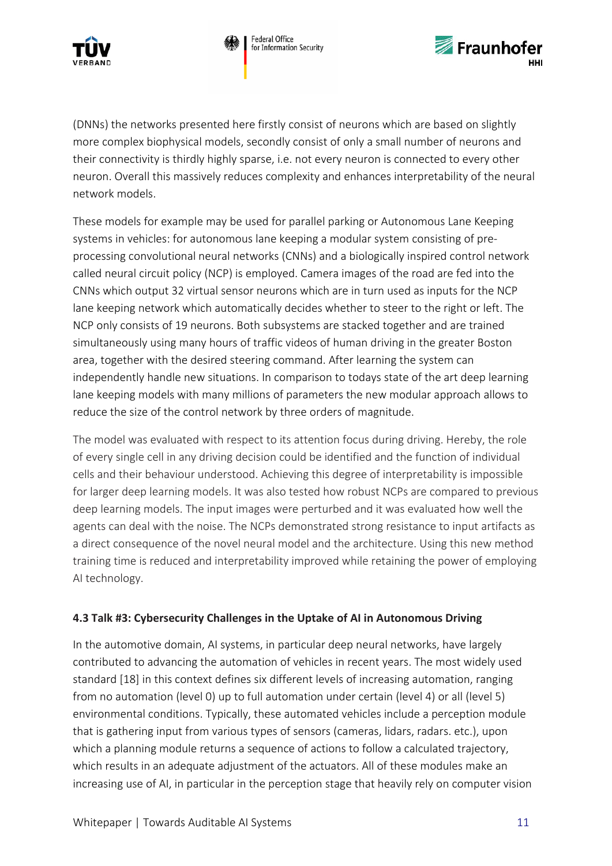





(DNNs) the networks presented here firstly consist of neurons which are based on slightly more complex biophysical models, secondly consist of only a small number of neurons and their connectivity is thirdly highly sparse, i.e. not every neuron is connected to every other neuron. Overall this massively reduces complexity and enhances interpretability of the neural network models.

These models for example may be used for parallel parking or Autonomous Lane Keeping systems in vehicles: for autonomous lane keeping a modular system consisting of preprocessing convolutional neural networks (CNNs) and a biologically inspired control network called neural circuit policy (NCP) is employed. Camera images of the road are fed into the CNNs which output 32 virtual sensor neurons which are in turn used as inputs for the NCP lane keeping network which automatically decides whether to steer to the right or left. The NCP only consists of 19 neurons. Both subsystems are stacked together and are trained simultaneously using many hours of traffic videos of human driving in the greater Boston area, together with the desired steering command. After learning the system can independently handle new situations. In comparison to todays state of the art deep learning lane keeping models with many millions of parameters the new modular approach allows to reduce the size of the control network by three orders of magnitude.

The model was evaluated with respect to its attention focus during driving. Hereby, the role of every single cell in any driving decision could be identified and the function of individual cells and their behaviour understood. Achieving this degree of interpretability is impossible for larger deep learning models. It was also tested how robust NCPs are compared to previous deep learning models. The input images were perturbed and it was evaluated how well the agents can deal with the noise. The NCPs demonstrated strong resistance to input artifacts as a direct consequence of the novel neural model and the architecture. Using this new method training time is reduced and interpretability improved while retaining the power of employing AI technology.

#### <span id="page-10-0"></span>**4.3 Talk #3: Cybersecurity Challenges in the Uptake of AI in Autonomous Driving**

In the automotive domain, AI systems, in particular deep neural networks, have largely contributed to advancing the automation of vehicles in recent years. The most widely used standard [18] in this context defines six different levels of increasing automation, ranging from no automation (level 0) up to full automation under certain (level 4) or all (level 5) environmental conditions. Typically, these automated vehicles include a perception module that is gathering input from various types of sensors (cameras, lidars, radars. etc.), upon which a planning module returns a sequence of actions to follow a calculated trajectory, which results in an adequate adjustment of the actuators. All of these modules make an increasing use of AI, in particular in the perception stage that heavily rely on computer vision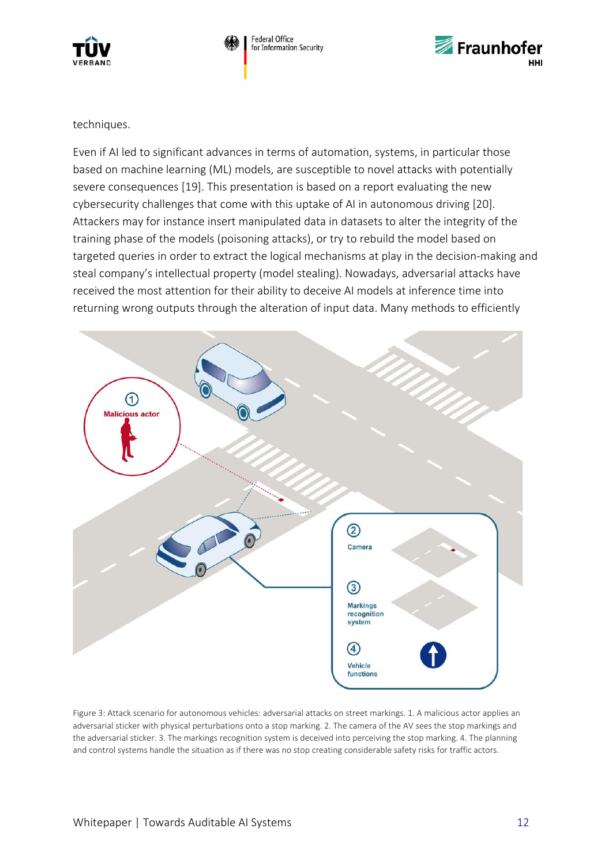

**Federal Office** Federat Strice<br>for Information Security



techniques.

Even if AI led to significant advances in terms of automation, systems, in particular those based on machine learning (ML) models, are susceptible to novel attacks with potentially severe consequences [19]. This presentation is based on a report evaluating the new cybersecurity challenges that come with this uptake of AI in autonomous driving [20]. Attackers may for instance insert manipulated data in datasets to alter the integrity of the training phase of the models (poisoning attacks), or try to rebuild the model based on targeted queries in order to extract the logical mechanisms at play in the decision-making and steal company's intellectual property (model stealing). Nowadays, adversarial attacks have received the most attention for their ability to deceive AI models at inference time into returning wrong outputs through the alteration of input data. Many methods to efficiently



Figure 3: Attack scenario for autonomous vehicles: adversarial attacks on street markings. 1. A malicious actor applies an adversarial sticker with physical perturbations onto a stop marking. 2. The camera of the AV sees the stop markings and the adversarial sticker. 3. The markings recognition system is deceived into perceiving the stop marking. 4. The planning and control systems handle the situation as if there was no stop creating considerable safety risks for traffic actors.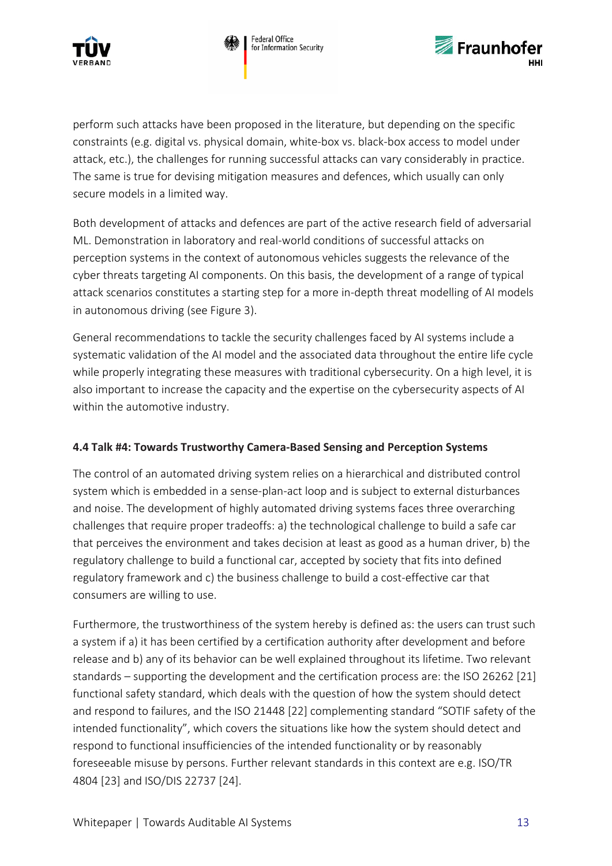



perform such attacks have been proposed in the literature, but depending on the specific constraints (e.g. digital vs. physical domain, white-box vs. black-box access to model under attack, etc.), the challenges for running successful attacks can vary considerably in practice. The same is true for devising mitigation measures and defences, which usually can only secure models in a limited way.

Both development of attacks and defences are part of the active research field of adversarial ML. Demonstration in laboratory and real-world conditions of successful attacks on perception systems in the context of autonomous vehicles suggests the relevance of the cyber threats targeting AI components. On this basis, the development of a range of typical attack scenarios constitutes a starting step for a more in-depth threat modelling of AI models in autonomous driving (see Figure 3).

General recommendations to tackle the security challenges faced by AI systems include a systematic validation of the AI model and the associated data throughout the entire life cycle while properly integrating these measures with traditional cybersecurity. On a high level, it is also important to increase the capacity and the expertise on the cybersecurity aspects of AI within the automotive industry.

#### <span id="page-12-0"></span>**4.4 Talk #4: Towards Trustworthy Camera-Based Sensing and Perception Systems**

The control of an automated driving system relies on a hierarchical and distributed control system which is embedded in a sense-plan-act loop and is subject to external disturbances and noise. The development of highly automated driving systems faces three overarching challenges that require proper tradeoffs: a) the technological challenge to build a safe car that perceives the environment and takes decision at least as good as a human driver, b) the regulatory challenge to build a functional car, accepted by society that fits into defined regulatory framework and c) the business challenge to build a cost-effective car that consumers are willing to use.

Furthermore, the trustworthiness of the system hereby is defined as: the users can trust such a system if a) it has been certified by a certification authority after development and before release and b) any of its behavior can be well explained throughout its lifetime. Two relevant standards – supporting the development and the certification process are: the ISO 26262 [21] functional safety standard, which deals with the question of how the system should detect and respond to failures, and the ISO 21448 [22] complementing standard "SOTIF safety of the intended functionality", which covers the situations like how the system should detect and respond to functional insufficiencies of the intended functionality or by reasonably foreseeable misuse by persons. Further relevant standards in this context are e.g. ISO/TR 4804 [23] and ISO/DIS 22737 [24].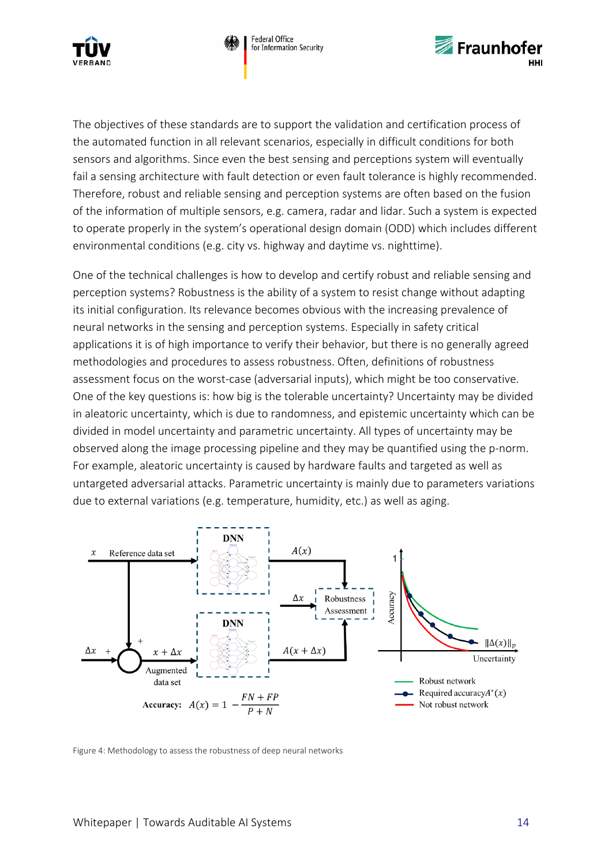





The objectives of these standards are to support the validation and certification process of the automated function in all relevant scenarios, especially in difficult conditions for both sensors and algorithms. Since even the best sensing and perceptions system will eventually fail a sensing architecture with fault detection or even fault tolerance is highly recommended. Therefore, robust and reliable sensing and perception systems are often based on the fusion of the information of multiple sensors, e.g. camera, radar and lidar. Such a system is expected to operate properly in the system's operational design domain (ODD) which includes different environmental conditions (e.g. city vs. highway and daytime vs. nighttime).

One of the technical challenges is how to develop and certify robust and reliable sensing and perception systems? Robustness is the ability of a system to resist change without adapting its initial configuration. Its relevance becomes obvious with the increasing prevalence of neural networks in the sensing and perception systems. Especially in safety critical applications it is of high importance to verify their behavior, but there is no generally agreed methodologies and procedures to assess robustness. Often, definitions of robustness assessment focus on the worst-case (adversarial inputs), which might be too conservative. One of the key questions is: how big is the tolerable uncertainty? Uncertainty may be divided in aleatoric uncertainty, which is due to randomness, and epistemic uncertainty which can be divided in model uncertainty and parametric uncertainty. All types of uncertainty may be observed along the image processing pipeline and they may be quantified using the p-norm. For example, aleatoric uncertainty is caused by hardware faults and targeted as well as untargeted adversarial attacks. Parametric uncertainty is mainly due to parameters variations due to external variations (e.g. temperature, humidity, etc.) as well as aging.



Figure 4: Methodology to assess the robustness of deep neural networks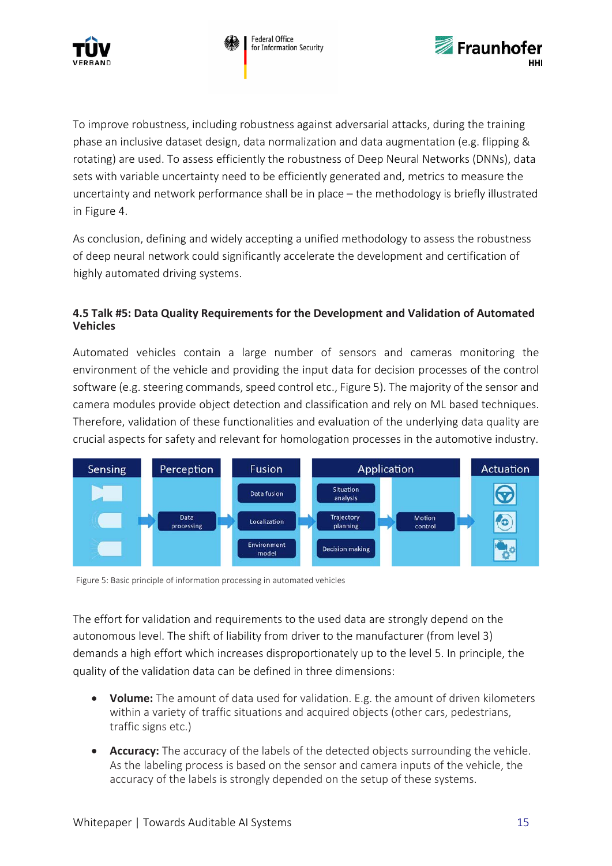



To improve robustness, including robustness against adversarial attacks, during the training phase an inclusive dataset design, data normalization and data augmentation (e.g. flipping & rotating) are used. To assess efficiently the robustness of Deep Neural Networks (DNNs), data sets with variable uncertainty need to be efficiently generated and, metrics to measure the uncertainty and network performance shall be in place – the methodology is briefly illustrated in Figure 4.

As conclusion, defining and widely accepting a unified methodology to assess the robustness of deep neural network could significantly accelerate the development and certification of highly automated driving systems.

#### <span id="page-14-0"></span>**4.5 Talk #5: Data Quality Requirements for the Development and Validation of Automated Vehicles**

Automated vehicles contain a large number of sensors and cameras monitoring the environment of the vehicle and providing the input data for decision processes of the control software (e.g. steering commands, speed control etc., Figure 5). The majority of the sensor and camera modules provide object detection and classification and rely on ML based techniques. Therefore, validation of these functionalities and evaluation of the underlying data quality are crucial aspects for safety and relevant for homologation processes in the automotive industry.



Figure 5: Basic principle of information processing in automated vehicles

The effort for validation and requirements to the used data are strongly depend on the autonomous level. The shift of liability from driver to the manufacturer (from level 3) demands a high effort which increases disproportionately up to the level 5. In principle, the quality of the validation data can be defined in three dimensions:

- **Volume:** The amount of data used for validation. E.g. the amount of driven kilometers within a variety of traffic situations and acquired objects (other cars, pedestrians, traffic signs etc.)
- **Accuracy:** The accuracy of the labels of the detected objects surrounding the vehicle. As the labeling process is based on the sensor and camera inputs of the vehicle, the accuracy of the labels is strongly depended on the setup of these systems.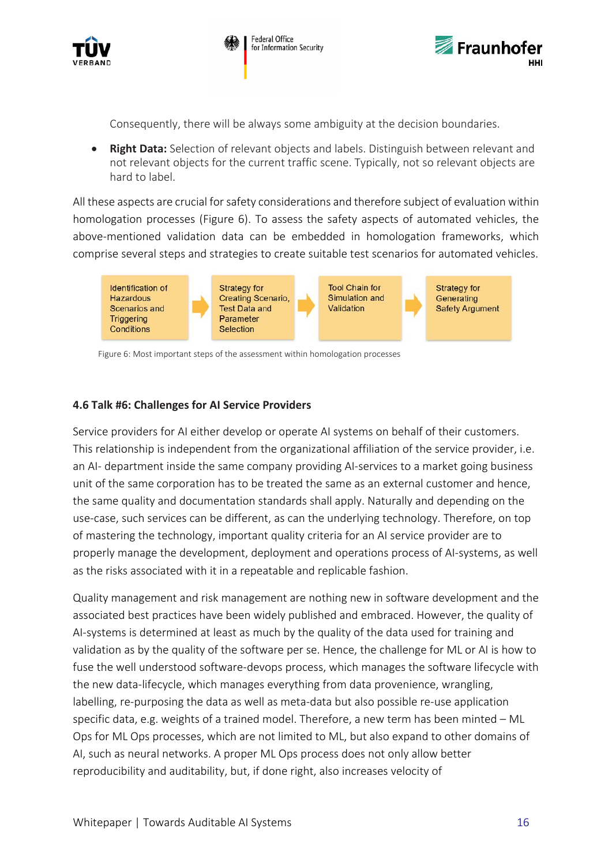



Consequently, there will be always some ambiguity at the decision boundaries.

• **Right Data:** Selection of relevant objects and labels. Distinguish between relevant and not relevant objects for the current traffic scene. Typically, not so relevant objects are hard to label.

All these aspects are crucial for safety considerations and therefore subject of evaluation within homologation processes (Figure 6). To assess the safety aspects of automated vehicles, the above-mentioned validation data can be embedded in homologation frameworks, which comprise several steps and strategies to create suitable test scenarios for automated vehicles.



Figure 6: Most important steps of the assessment within homologation processes

#### <span id="page-15-0"></span>**4.6 Talk #6: Challenges for AI Service Providers**

Service providers for AI either develop or operate AI systems on behalf of their customers. This relationship is independent from the organizational affiliation of the service provider, i.e. an AI- department inside the same company providing AI-services to a market going business unit of the same corporation has to be treated the same as an external customer and hence, the same quality and documentation standards shall apply. Naturally and depending on the use-case, such services can be different, as can the underlying technology. Therefore, on top of mastering the technology, important quality criteria for an AI service provider are to properly manage the development, deployment and operations process of AI-systems, as well as the risks associated with it in a repeatable and replicable fashion.

Quality management and risk management are nothing new in software development and the associated best practices have been widely published and embraced. However, the quality of AI-systems is determined at least as much by the quality of the data used for training and validation as by the quality of the software per se. Hence, the challenge for ML or AI is how to fuse the well understood software-devops process, which manages the software lifecycle with the new data-lifecycle, which manages everything from data provenience, wrangling, labelling, re-purposing the data as well as meta-data but also possible re-use application specific data, e.g. weights of a trained model. Therefore, a new term has been minted – ML Ops for ML Ops processes, which are not limited to ML, but also expand to other domains of AI, such as neural networks. A proper ML Ops process does not only allow better reproducibility and auditability, but, if done right, also increases velocity of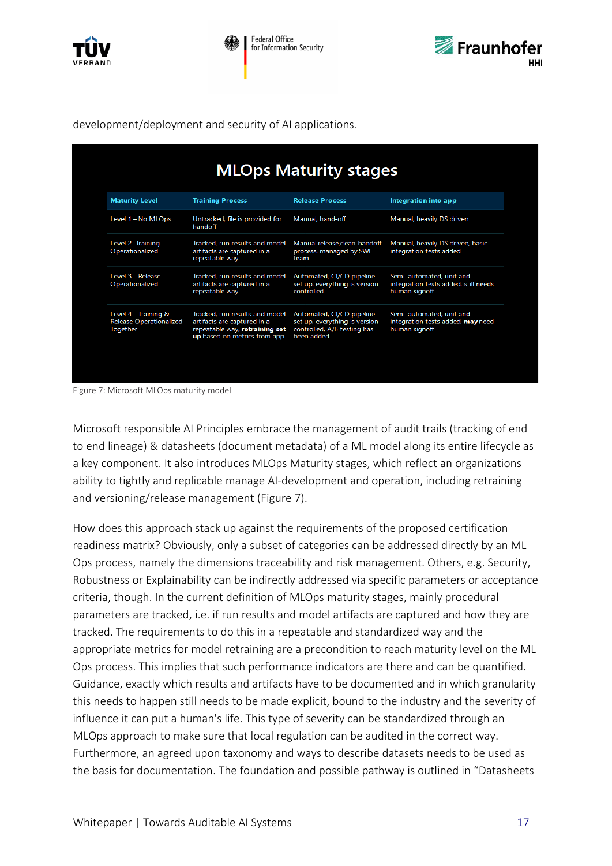



development/deployment and security of AI applications*.* 

| <b>MLOps Maturity stages</b>                                |                                                                                                                                 |                                                                                                         |                                                                                   |  |  |  |  |  |
|-------------------------------------------------------------|---------------------------------------------------------------------------------------------------------------------------------|---------------------------------------------------------------------------------------------------------|-----------------------------------------------------------------------------------|--|--|--|--|--|
| <b>Maturity Level</b>                                       | <b>Training Process</b>                                                                                                         | <b>Release Process</b>                                                                                  | Integration into app                                                              |  |  |  |  |  |
| Level 1 - No MLOps                                          | Untracked, file is provided for<br>handoff                                                                                      | Manual, hand-off                                                                                        | Manual, heavily DS driven                                                         |  |  |  |  |  |
| Level 2- Training<br>Operationalized                        | Tracked, run results and model<br>artifacts are captured in a<br>repeatable way                                                 | Manual release.clean handoff<br>process, managed by SWE<br>team                                         | Manual, heavily DS driven, basic<br>integration tests added                       |  |  |  |  |  |
| Level 3 - Release<br>Operationalized                        | Tracked, run results and model<br>artifacts are captured in a<br>repeatable way                                                 | Automated, CI/CD pipeline<br>set up, everything is version<br>controlled                                | Semi-automated, unit and<br>integration tests added, still needs<br>human signoff |  |  |  |  |  |
| Level 4 - Training &<br>Release Operationalized<br>Together | Tracked, run results and model<br>artifacts are captured in a<br>repeatable way, retraining set<br>up based on metrics from app | Automated, CI/CD pipeline<br>set up, everything is version<br>controlled, A/B testing has<br>been added | Semi-automated, unit and<br>integration tests added, may need<br>human signoff    |  |  |  |  |  |
|                                                             |                                                                                                                                 |                                                                                                         |                                                                                   |  |  |  |  |  |

Figure 7: Microsoft MLOps maturity model

Microsoft responsible AI Principles embrace the management of audit trails (tracking of end to end lineage) & datasheets (document metadata) of a ML model along its entire lifecycle as a key component. It also introduces MLOps Maturity stages, which reflect an organizations ability to tightly and replicable manage AI-development and operation, including retraining and versioning/release management (Figure 7).

How does this approach stack up against the requirements of the proposed certification readiness matrix? Obviously, only a subset of categories can be addressed directly by an ML Ops process, namely the dimensions traceability and risk management. Others, e.g. Security, Robustness or Explainability can be indirectly addressed via specific parameters or acceptance criteria, though. In the current definition of MLOps maturity stages, mainly procedural parameters are tracked, i.e. if run results and model artifacts are captured and how they are tracked. The requirements to do this in a repeatable and standardized way and the appropriate metrics for model retraining are a precondition to reach maturity level on the ML Ops process. This implies that such performance indicators are there and can be quantified. Guidance, exactly which results and artifacts have to be documented and in which granularity this needs to happen still needs to be made explicit, bound to the industry and the severity of influence it can put a human's life. This type of severity can be standardized through an MLOps approach to make sure that local regulation can be audited in the correct way. Furthermore, an agreed upon taxonomy and ways to describe datasets needs to be used as the basis for documentation. The foundation and possible pathway is outlined in "Datasheets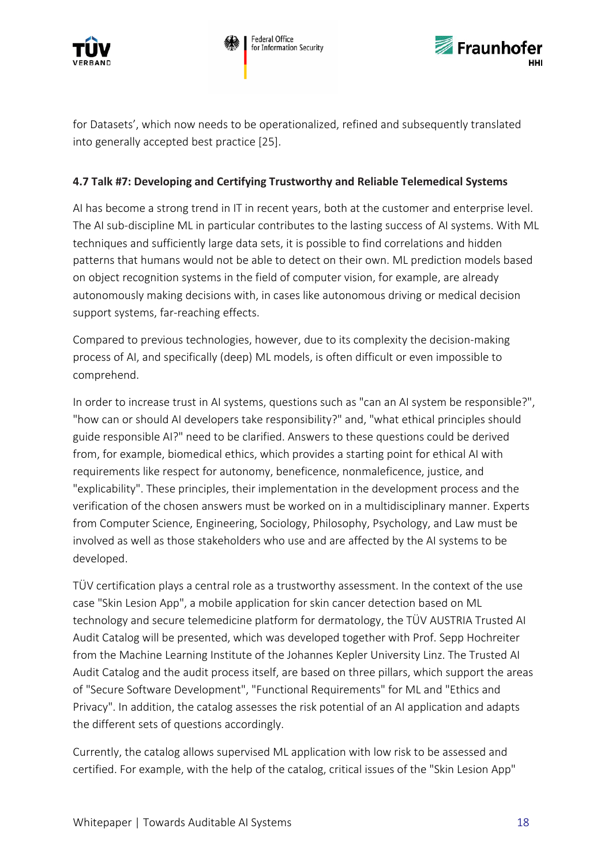



for Datasets', which now needs to be operationalized, refined and subsequently translated into generally accepted best practice [25].

#### <span id="page-17-0"></span>**4.7 Talk #7: Developing and Certifying Trustworthy and Reliable Telemedical Systems**

AI has become a strong trend in IT in recent years, both at the customer and enterprise level. The AI sub-discipline ML in particular contributes to the lasting success of AI systems. With ML techniques and sufficiently large data sets, it is possible to find correlations and hidden patterns that humans would not be able to detect on their own. ML prediction models based on object recognition systems in the field of computer vision, for example, are already autonomously making decisions with, in cases like autonomous driving or medical decision support systems, far-reaching effects.

Compared to previous technologies, however, due to its complexity the decision-making process of AI, and specifically (deep) ML models, is often difficult or even impossible to comprehend.

In order to increase trust in AI systems, questions such as "can an AI system be responsible?", "how can or should AI developers take responsibility?" and, "what ethical principles should guide responsible AI?" need to be clarified. Answers to these questions could be derived from, for example, biomedical ethics, which provides a starting point for ethical AI with requirements like respect for autonomy, beneficence, nonmaleficence, justice, and "explicability". These principles, their implementation in the development process and the verification of the chosen answers must be worked on in a multidisciplinary manner. Experts from Computer Science, Engineering, Sociology, Philosophy, Psychology, and Law must be involved as well as those stakeholders who use and are affected by the AI systems to be developed.

TÜV certification plays a central role as a trustworthy assessment. In the context of the use case "Skin Lesion App", a mobile application for skin cancer detection based on ML technology and secure telemedicine platform for dermatology, the TÜV AUSTRIA Trusted AI Audit Catalog will be presented, which was developed together with Prof. Sepp Hochreiter from the Machine Learning Institute of the Johannes Kepler University Linz. The Trusted AI Audit Catalog and the audit process itself, are based on three pillars, which support the areas of "Secure Software Development", "Functional Requirements" for ML and "Ethics and Privacy". In addition, the catalog assesses the risk potential of an AI application and adapts the different sets of questions accordingly.

Currently, the catalog allows supervised ML application with low risk to be assessed and certified. For example, with the help of the catalog, critical issues of the "Skin Lesion App"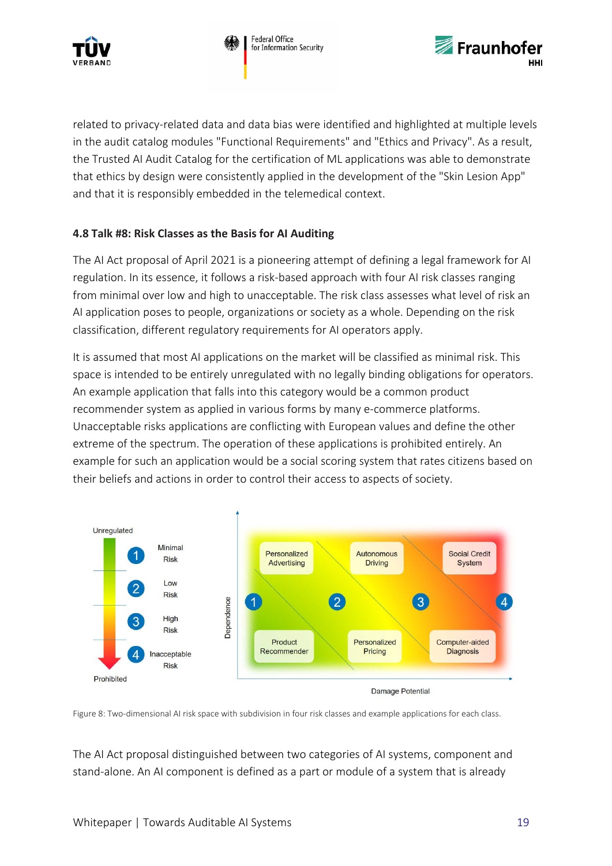



related to privacy-related data and data bias were identified and highlighted at multiple levels in the audit catalog modules "Functional Requirements" and "Ethics and Privacy". As a result, the Trusted AI Audit Catalog for the certification of ML applications was able to demonstrate that ethics by design were consistently applied in the development of the "Skin Lesion App" and that it is responsibly embedded in the telemedical context.

#### <span id="page-18-0"></span>**4.8 Talk #8: Risk Classes as the Basis for AI Auditing**

The AI Act proposal of April 2021 is a pioneering attempt of defining a legal framework for AI regulation. In its essence, it follows a risk-based approach with four AI risk classes ranging from minimal over low and high to unacceptable. The risk class assesses what level of risk an AI application poses to people, organizations or society as a whole. Depending on the risk classification, different regulatory requirements for AI operators apply.

It is assumed that most AI applications on the market will be classified as minimal risk. This space is intended to be entirely unregulated with no legally binding obligations for operators. An example application that falls into this category would be a common product recommender system as applied in various forms by many e-commerce platforms. Unacceptable risks applications are conflicting with European values and define the other extreme of the spectrum. The operation of these applications is prohibited entirely. An example for such an application would be a social scoring system that rates citizens based on their beliefs and actions in order to control their access to aspects of society.





Figure 8: Two-dimensional AI risk space with subdivision in four risk classes and example applications for each class.

The AI Act proposal distinguished between two categories of AI systems, component and stand-alone. An AI component is defined as a part or module of a system that is already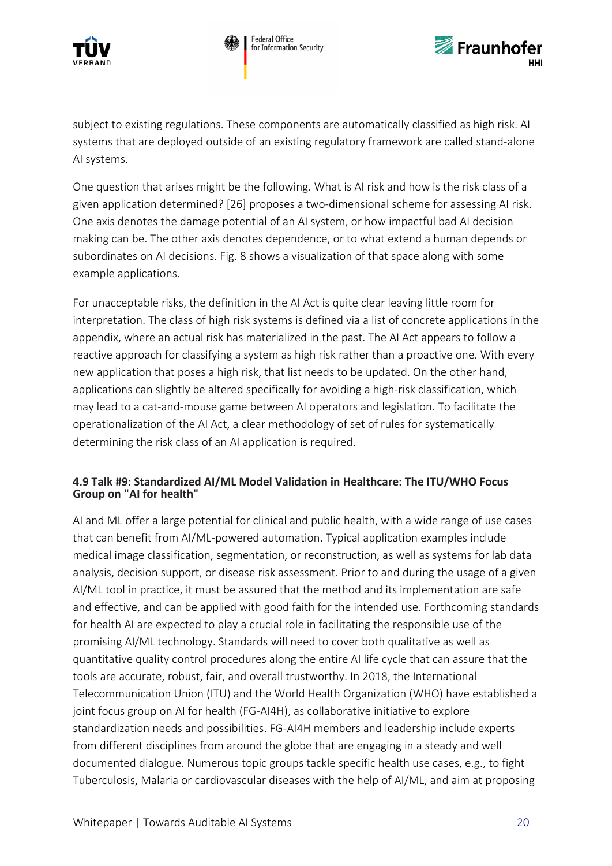





subject to existing regulations. These components are automatically classified as high risk. AI systems that are deployed outside of an existing regulatory framework are called stand-alone AI systems.

One question that arises might be the following. What is AI risk and how is the risk class of a given application determined? [26] proposes a two-dimensional scheme for assessing AI risk. One axis denotes the damage potential of an AI system, or how impactful bad AI decision making can be. The other axis denotes dependence, or to what extend a human depends or subordinates on AI decisions. Fig. 8 shows a visualization of that space along with some example applications.

For unacceptable risks, the definition in the AI Act is quite clear leaving little room for interpretation. The class of high risk systems is defined via a list of concrete applications in the appendix, where an actual risk has materialized in the past. The AI Act appears to follow a reactive approach for classifying a system as high risk rather than a proactive one. With every new application that poses a high risk, that list needs to be updated. On the other hand, applications can slightly be altered specifically for avoiding a high-risk classification, which may lead to a cat-and-mouse game between AI operators and legislation. To facilitate the operationalization of the AI Act, a clear methodology of set of rules for systematically determining the risk class of an AI application is required.

#### <span id="page-19-0"></span>**4.9 Talk #9: Standardized AI/ML Model Validation in Healthcare: The ITU/WHO Focus Group on "AI for health"**

AI and ML offer a large potential for clinical and public health, with a wide range of use cases that can benefit from AI/ML-powered automation. Typical application examples include medical image classification, segmentation, or reconstruction, as well as systems for lab data analysis, decision support, or disease risk assessment. Prior to and during the usage of a given AI/ML tool in practice, it must be assured that the method and its implementation are safe and effective, and can be applied with good faith for the intended use. Forthcoming standards for health AI are expected to play a crucial role in facilitating the responsible use of the promising AI/ML technology. Standards will need to cover both qualitative as well as quantitative quality control procedures along the entire AI life cycle that can assure that the tools are accurate, robust, fair, and overall trustworthy. In 2018, the International Telecommunication Union (ITU) and the World Health Organization (WHO) have established a joint focus group on AI for health (FG-AI4H), as collaborative initiative to explore standardization needs and possibilities. FG-AI4H members and leadership include experts from different disciplines from around the globe that are engaging in a steady and well documented dialogue. Numerous topic groups tackle specific health use cases, e.g., to fight Tuberculosis, Malaria or cardiovascular diseases with the help of AI/ML, and aim at proposing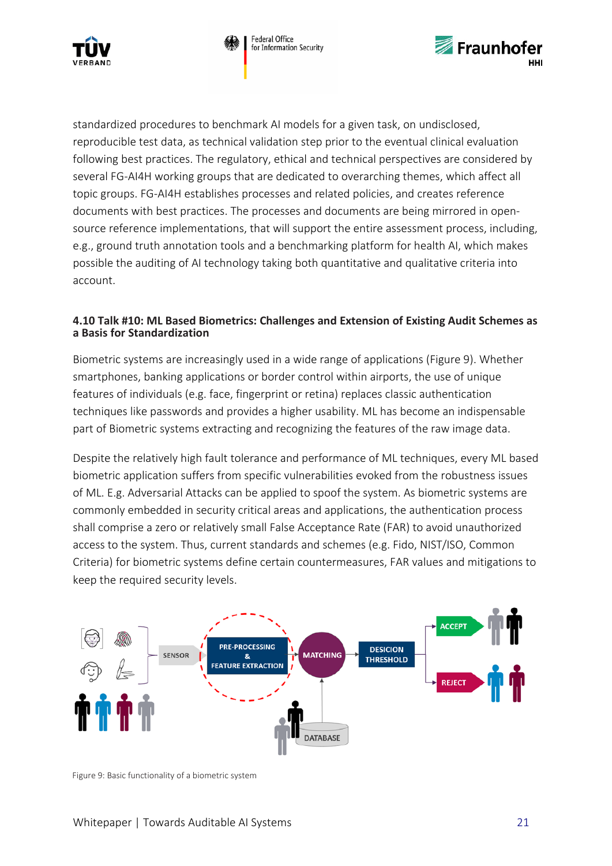



standardized procedures to benchmark AI models for a given task, on undisclosed, reproducible test data, as technical validation step prior to the eventual clinical evaluation following best practices. The regulatory, ethical and technical perspectives are considered by several FG-AI4H working groups that are dedicated to overarching themes, which affect all topic groups. FG-AI4H establishes processes and related policies, and creates reference documents with best practices. The processes and documents are being mirrored in opensource reference implementations, that will support the entire assessment process, including, e.g., ground truth annotation tools and a benchmarking platform for health AI, which makes possible the auditing of AI technology taking both quantitative and qualitative criteria into account.

#### <span id="page-20-0"></span>**4.10 Talk #10: ML Based Biometrics: Challenges and Extension of Existing Audit Schemes as a Basis for Standardization**

Biometric systems are increasingly used in a wide range of applications (Figure 9). Whether smartphones, banking applications or border control within airports, the use of unique features of individuals (e.g. face, fingerprint or retina) replaces classic authentication techniques like passwords and provides a higher usability. ML has become an indispensable part of Biometric systems extracting and recognizing the features of the raw image data.

Despite the relatively high fault tolerance and performance of ML techniques, every ML based biometric application suffers from specific vulnerabilities evoked from the robustness issues of ML. E.g. Adversarial Attacks can be applied to spoof the system. As biometric systems are commonly embedded in security critical areas and applications, the authentication process shall comprise a zero or relatively small False Acceptance Rate (FAR) to avoid unauthorized access to the system. Thus, current standards and schemes (e.g. Fido, NIST/ISO, Common Criteria) for biometric systems define certain countermeasures, FAR values and mitigations to keep the required security levels.



Figure 9: Basic functionality of a biometric system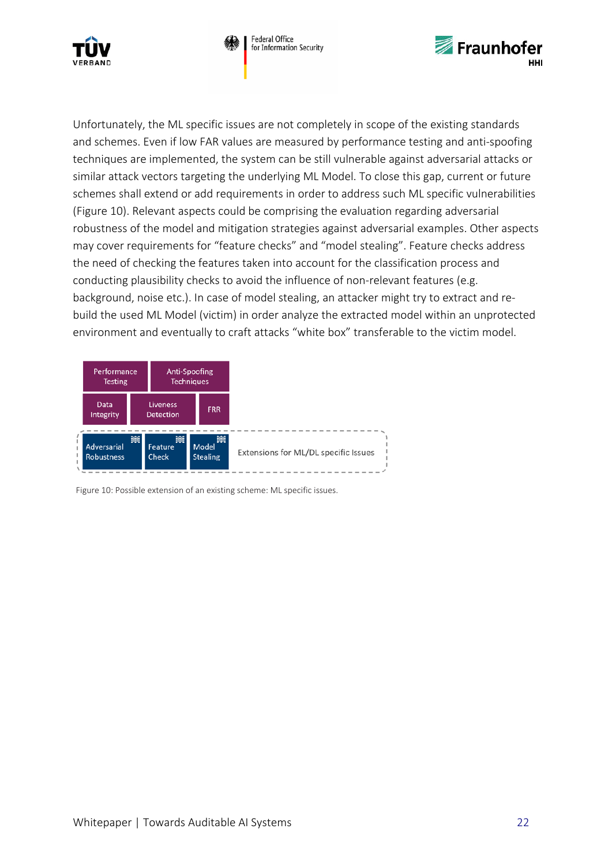





Unfortunately, the ML specific issues are not completely in scope of the existing standards and schemes. Even if low FAR values are measured by performance testing and anti-spoofing techniques are implemented, the system can be still vulnerable against adversarial attacks or similar attack vectors targeting the underlying ML Model. To close this gap, current or future schemes shall extend or add requirements in order to address such ML specific vulnerabilities (Figure 10). Relevant aspects could be comprising the evaluation regarding adversarial robustness of the model and mitigation strategies against adversarial examples. Other aspects may cover requirements for "feature checks" and "model stealing". Feature checks address the need of checking the features taken into account for the classification process and conducting plausibility checks to avoid the influence of non-relevant features (e.g. background, noise etc.). In case of model stealing, an attacker might try to extract and rebuild the used ML Model (victim) in order analyze the extracted model within an unprotected environment and eventually to craft attacks "white box" transferable to the victim model.



Figure 10: Possible extension of an existing scheme: ML specific issues.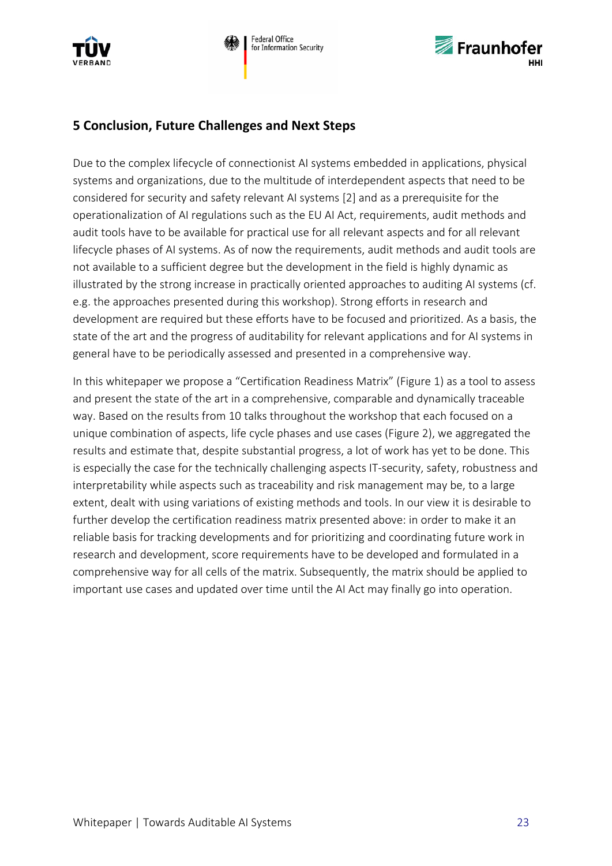



## <span id="page-22-0"></span>**5 Conclusion, Future Challenges and Next Steps**

Due to the complex lifecycle of connectionist AI systems embedded in applications, physical systems and organizations, due to the multitude of interdependent aspects that need to be considered for security and safety relevant AI systems [2] and as a prerequisite for the operationalization of AI regulations such as the EU AI Act, requirements, audit methods and audit tools have to be available for practical use for all relevant aspects and for all relevant lifecycle phases of AI systems. As of now the requirements, audit methods and audit tools are not available to a sufficient degree but the development in the field is highly dynamic as illustrated by the strong increase in practically oriented approaches to auditing AI systems (cf. e.g. the approaches presented during this workshop). Strong efforts in research and development are required but these efforts have to be focused and prioritized. As a basis, the state of the art and the progress of auditability for relevant applications and for AI systems in general have to be periodically assessed and presented in a comprehensive way.

In this whitepaper we propose a "Certification Readiness Matrix" (Figure 1) as a tool to assess and present the state of the art in a comprehensive, comparable and dynamically traceable way. Based on the results from 10 talks throughout the workshop that each focused on a unique combination of aspects, life cycle phases and use cases (Figure 2), we aggregated the results and estimate that, despite substantial progress, a lot of work has yet to be done. This is especially the case for the technically challenging aspects IT-security, safety, robustness and interpretability while aspects such as traceability and risk management may be, to a large extent, dealt with using variations of existing methods and tools. In our view it is desirable to further develop the certification readiness matrix presented above: in order to make it an reliable basis for tracking developments and for prioritizing and coordinating future work in research and development, score requirements have to be developed and formulated in a comprehensive way for all cells of the matrix. Subsequently, the matrix should be applied to important use cases and updated over time until the AI Act may finally go into operation.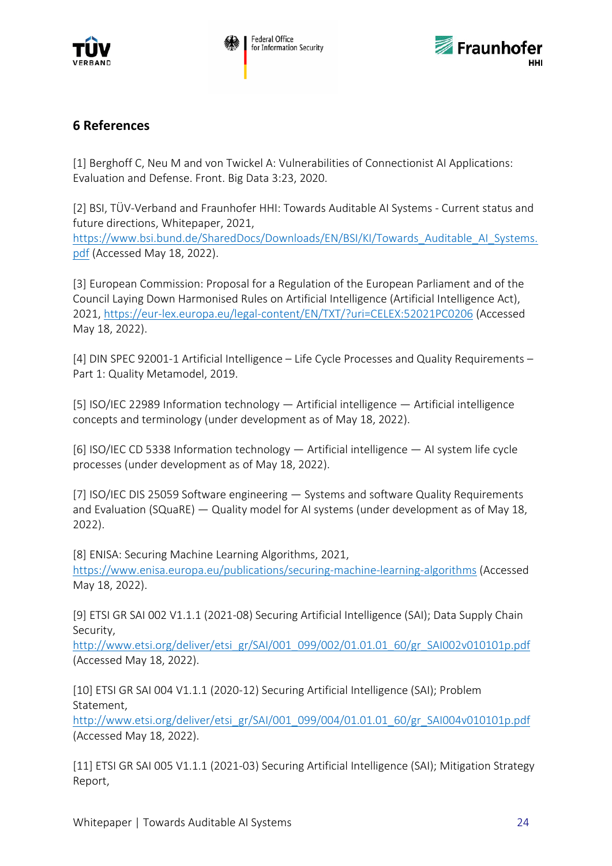



## <span id="page-23-0"></span>**6 References**

[1] Berghoff C, Neu M and von Twickel A: Vulnerabilities of Connectionist AI Applications: Evaluation and Defense. Front. Big Data 3:23, 2020.

[2] BSI, TÜV-Verband and Fraunhofer HHI: Towards Auditable AI Systems - Current status and future directions, Whitepaper, 2021, [https://www.bsi.bund.de/SharedDocs/Downloads/EN/BSI/KI/Towards\\_Auditable\\_AI\\_Systems.](https://www.bsi.bund.de/SharedDocs/Downloads/EN/BSI/KI/Towards_Auditable_AI_Systems.pdf) [pdf](https://www.bsi.bund.de/SharedDocs/Downloads/EN/BSI/KI/Towards_Auditable_AI_Systems.pdf) (Accessed May 18, 2022).

[3] European Commission: Proposal for a Regulation of the European Parliament and of the Council Laying Down Harmonised Rules on Artificial Intelligence (Artificial Intelligence Act), 2021,<https://eur-lex.europa.eu/legal-content/EN/TXT/?uri=CELEX:52021PC0206> (Accessed May 18, 2022).

[4] DIN SPEC 92001-1 Artificial Intelligence – Life Cycle Processes and Quality Requirements – Part 1: Quality Metamodel, 2019.

[5] ISO/IEC 22989 Information technology — Artificial intelligence — Artificial intelligence concepts and terminology (under development as of May 18, 2022).

[6] ISO/IEC CD 5338 Information technology — Artificial intelligence — AI system life cycle processes (under development as of May 18, 2022).

[7] ISO/IEC DIS 25059 Software engineering — Systems and software Quality Requirements and Evaluation (SQuaRE) — Quality model for AI systems (under development as of May 18, 2022).

[8] ENISA: Securing Machine Learning Algorithms, 2021, <https://www.enisa.europa.eu/publications/securing-machine-learning-algorithms> (Accessed May 18, 2022).

[9] ETSI GR SAI 002 V1.1.1 (2021-08) Securing Artificial Intelligence (SAI); Data Supply Chain Security,

[http://www.etsi.org/deliver/etsi\\_gr/SAI/001\\_099/002/01.01.01\\_60/gr\\_SAI002v010101p.pdf](http://www.etsi.org/deliver/etsi_gr/SAI/001_099/002/01.01.01_60/gr_SAI002v010101p.pdf) (Accessed May 18, 2022).

[10] ETSI GR SAI 004 V1.1.1 (2020-12) Securing Artificial Intelligence (SAI); Problem Statement,

[http://www.etsi.org/deliver/etsi\\_gr/SAI/001\\_099/004/01.01.01\\_60/gr\\_SAI004v010101p.pdf](http://www.etsi.org/deliver/etsi_gr/SAI/001_099/004/01.01.01_60/gr_SAI004v010101p.pdf) (Accessed May 18, 2022).

[11] ETSI GR SAI 005 V1.1.1 (2021-03) Securing Artificial Intelligence (SAI); Mitigation Strategy Report,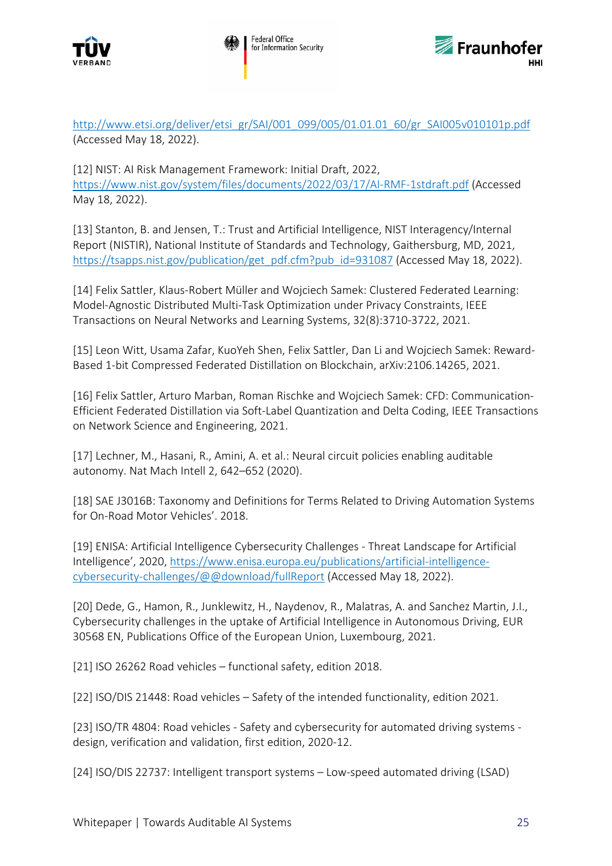



[http://www.etsi.org/deliver/etsi\\_gr/SAI/001\\_099/005/01.01.01\\_60/gr\\_SAI005v010101p.pdf](http://www.etsi.org/deliver/etsi_gr/SAI/001_099/005/01.01.01_60/gr_SAI005v010101p.pdf) (Accessed May 18, 2022).

[12] NIST: AI Risk Management Framework: Initial Draft, 2022, <https://www.nist.gov/system/files/documents/2022/03/17/AI-RMF-1stdraft.pdf> (Accessed May 18, 2022).

[13] Stanton, B. and Jensen, T.: Trust and Artificial Intelligence, NIST Interagency/Internal Report (NISTIR), National Institute of Standards and Technology, Gaithersburg, MD, 2021, [https://tsapps.nist.gov/publication/get\\_pdf.cfm?pub\\_id=931087](https://tsapps.nist.gov/publication/get_pdf.cfm?pub_id=931087) (Accessed May 18, 2022).

[14] Felix Sattler, Klaus-Robert Müller and Wojciech Samek: Clustered Federated Learning: Model-Agnostic Distributed Multi-Task Optimization under Privacy Constraints, IEEE Transactions on Neural Networks and Learning Systems, 32(8):3710-3722, 2021.

[15] Leon Witt, Usama Zafar, KuoYeh Shen, Felix Sattler, Dan Li and Wojciech Samek: Reward-Based 1-bit Compressed Federated Distillation on Blockchain, arXiv:2106.14265, 2021.

[16] Felix Sattler, Arturo Marban, Roman Rischke and Wojciech Samek: CFD: Communication-Efficient Federated Distillation via Soft-Label Quantization and Delta Coding, IEEE Transactions on Network Science and Engineering, 2021.

[17] Lechner, M., Hasani, R., Amini, A. et al.: Neural circuit policies enabling auditable autonomy. Nat Mach Intell 2, 642–652 (2020).

[18] SAE J3016B: Taxonomy and Definitions for Terms Related to Driving Automation Systems for On-Road Motor Vehicles'. 2018.

[19] ENISA: Artificial Intelligence Cybersecurity Challenges - Threat Landscape for Artificial Intelligence', 2020, [https://www.enisa.europa.eu/publications/artificial-intelligence](https://www.enisa.europa.eu/publications/artificial-intelligence-cybersecurity-challenges/@@download/fullReport)[cybersecurity-challenges/@@download/fullReport](https://www.enisa.europa.eu/publications/artificial-intelligence-cybersecurity-challenges/@@download/fullReport) (Accessed May 18, 2022).

[20] Dede, G., Hamon, R., Junklewitz, H., Naydenov, R., Malatras, A. and Sanchez Martin, J.I., Cybersecurity challenges in the uptake of Artificial Intelligence in Autonomous Driving, EUR 30568 EN, Publications Office of the European Union, Luxembourg, 2021.

[21] ISO 26262 Road vehicles – functional safety, edition 2018.

[22] ISO/DIS 21448: Road vehicles – Safety of the intended functionality, edition 2021.

[23] ISO/TR 4804: Road vehicles - Safety and cybersecurity for automated driving systems design, verification and validation, first edition, 2020-12.

[24] ISO/DIS 22737: Intelligent transport systems – Low-speed automated driving (LSAD)